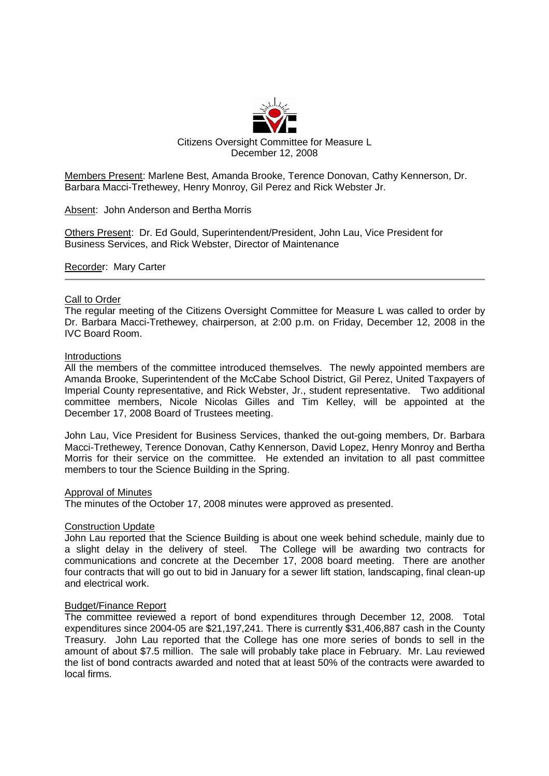

Members Present: Marlene Best, Amanda Brooke, Terence Donovan, Cathy Kennerson, Dr. Barbara Macci-Trethewey, Henry Monroy, Gil Perez and Rick Webster Jr.

Absent: John Anderson and Bertha Morris

Others Present: Dr. Ed Gould, Superintendent/President, John Lau, Vice President for Business Services, and Rick Webster, Director of Maintenance

Recorder: Mary Carter

## Call to Order

The regular meeting of the Citizens Oversight Committee for Measure L was called to order by Dr. Barbara Macci-Trethewey, chairperson, at 2:00 p.m. on Friday, December 12, 2008 in the IVC Board Room.

## Introductions

All the members of the committee introduced themselves. The newly appointed members are Amanda Brooke, Superintendent of the McCabe School District, Gil Perez, United Taxpayers of Imperial County representative, and Rick Webster, Jr., student representative. Two additional committee members, Nicole Nicolas Gilles and Tim Kelley, will be appointed at the December 17, 2008 Board of Trustees meeting.

John Lau, Vice President for Business Services, thanked the out-going members, Dr. Barbara Macci-Trethewey, Terence Donovan, Cathy Kennerson, David Lopez, Henry Monroy and Bertha Morris for their service on the committee. He extended an invitation to all past committee members to tour the Science Building in the Spring.

### Approval of Minutes

The minutes of the October 17, 2008 minutes were approved as presented.

## Construction Update

John Lau reported that the Science Building is about one week behind schedule, mainly due to a slight delay in the delivery of steel. The College will be awarding two contracts for communications and concrete at the December 17, 2008 board meeting. There are another four contracts that will go out to bid in January for a sewer lift station, landscaping, final clean-up and electrical work.

# Budget/Finance Report

The committee reviewed a report of bond expenditures through December 12, 2008. Total expenditures since 2004-05 are \$21,197,241. There is currently \$31,406,887 cash in the County Treasury. John Lau reported that the College has one more series of bonds to sell in the amount of about \$7.5 million. The sale will probably take place in February. Mr. Lau reviewed the list of bond contracts awarded and noted that at least 50% of the contracts were awarded to local firms.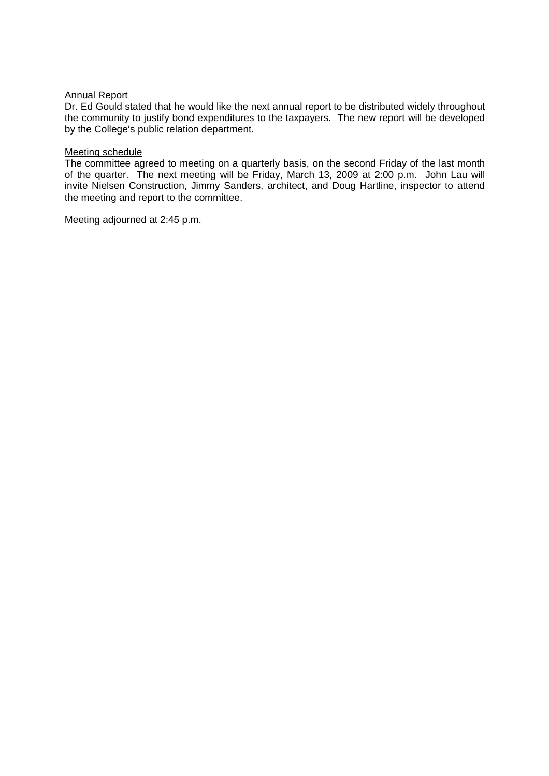## Annual Report

Dr. Ed Gould stated that he would like the next annual report to be distributed widely throughout the community to justify bond expenditures to the taxpayers. The new report will be developed by the College's public relation department.

### Meeting schedule

The committee agreed to meeting on a quarterly basis, on the second Friday of the last month of the quarter. The next meeting will be Friday, March 13, 2009 at 2:00 p.m. John Lau will invite Nielsen Construction, Jimmy Sanders, architect, and Doug Hartline, inspector to attend the meeting and report to the committee.

Meeting adjourned at 2:45 p.m.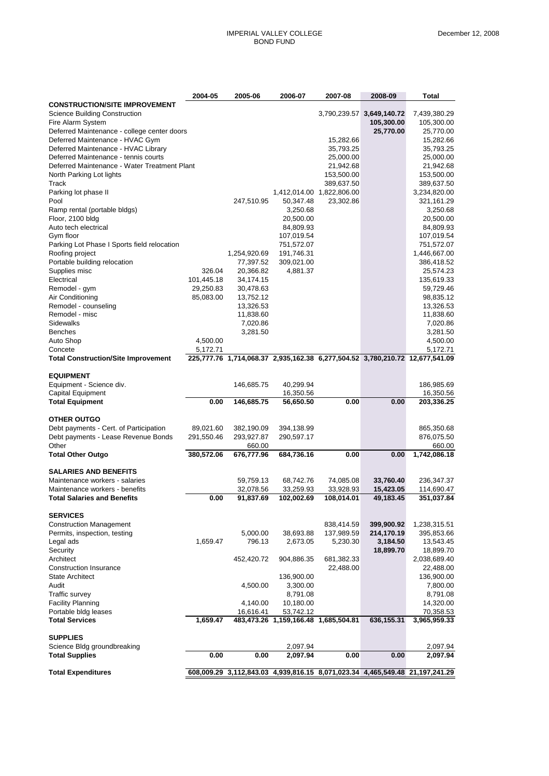|                                                                             | 2004-05    | 2005-06                   | 2006-07                              | 2007-08                   | 2008-09                   | Total                                                                                    |
|-----------------------------------------------------------------------------|------------|---------------------------|--------------------------------------|---------------------------|---------------------------|------------------------------------------------------------------------------------------|
| <b>CONSTRUCTION/SITE IMPROVEMENT</b>                                        |            |                           |                                      |                           |                           |                                                                                          |
| <b>Science Building Construction</b>                                        |            |                           |                                      |                           | 3,790,239.57 3,649,140.72 | 7,439,380.29                                                                             |
| Fire Alarm System                                                           |            |                           |                                      |                           | 105,300.00                | 105,300.00                                                                               |
| Deferred Maintenance - college center doors                                 |            |                           |                                      |                           | 25,770.00                 | 25,770.00                                                                                |
| Deferred Maintenance - HVAC Gym                                             |            |                           |                                      | 15,282.66                 |                           | 15,282.66                                                                                |
| Deferred Maintenance - HVAC Library<br>Deferred Maintenance - tennis courts |            |                           |                                      | 35,793.25<br>25,000.00    |                           | 35,793.25                                                                                |
| Deferred Maintenance - Water Treatment Plant                                |            |                           |                                      | 21,942.68                 |                           | 25,000.00<br>21,942.68                                                                   |
| North Parking Lot lights                                                    |            |                           |                                      | 153,500.00                |                           | 153,500.00                                                                               |
| Track                                                                       |            |                           |                                      | 389,637.50                |                           | 389,637.50                                                                               |
| Parking lot phase II                                                        |            |                           |                                      | 1,412,014.00 1,822,806.00 |                           | 3,234,820.00                                                                             |
| Pool                                                                        |            | 247,510.95                | 50,347.48                            | 23,302.86                 |                           | 321,161.29                                                                               |
| Ramp rental (portable bldgs)                                                |            |                           | 3,250.68                             |                           |                           | 3,250.68                                                                                 |
| Floor, 2100 bldg                                                            |            |                           | 20,500.00                            |                           |                           | 20,500.00                                                                                |
| Auto tech electrical                                                        |            |                           | 84,809.93                            |                           |                           | 84,809.93                                                                                |
| Gym floor                                                                   |            |                           | 107,019.54                           |                           |                           | 107,019.54                                                                               |
| Parking Lot Phase I Sports field relocation                                 |            |                           | 751,572.07                           |                           |                           | 751,572.07                                                                               |
| Roofing project<br>Portable building relocation                             |            | 1,254,920.69<br>77,397.52 | 191,746.31<br>309,021.00             |                           |                           | 1,446,667.00<br>386,418.52                                                               |
| Supplies misc                                                               | 326.04     | 20,366.82                 | 4,881.37                             |                           |                           | 25,574.23                                                                                |
| Electrical                                                                  | 101,445.18 | 34,174.15                 |                                      |                           |                           | 135,619.33                                                                               |
| Remodel - gym                                                               | 29,250.83  | 30,478.63                 |                                      |                           |                           | 59,729.46                                                                                |
| Air Conditioning                                                            | 85,083.00  | 13,752.12                 |                                      |                           |                           | 98,835.12                                                                                |
| Remodel - counseling                                                        |            | 13,326.53                 |                                      |                           |                           | 13,326.53                                                                                |
| Remodel - misc                                                              |            | 11,838.60                 |                                      |                           |                           | 11,838.60                                                                                |
| Sidewalks                                                                   |            | 7,020.86                  |                                      |                           |                           | 7,020.86                                                                                 |
| <b>Benches</b>                                                              |            | 3,281.50                  |                                      |                           |                           | 3,281.50                                                                                 |
| Auto Shop                                                                   | 4,500.00   |                           |                                      |                           |                           | 4,500.00                                                                                 |
| Concete<br><b>Total Construction/Site Improvement</b>                       | 5,172.71   |                           |                                      |                           |                           | 5,172.71<br>225,777.76 1,714,068.37 2,935,162.38 6,277,504.52 3,780,210.72 12,677,541.09 |
| <b>EQUIPMENT</b>                                                            |            |                           |                                      |                           |                           |                                                                                          |
| Equipment - Science div.                                                    |            | 146,685.75                | 40,299.94                            |                           |                           | 186,985.69                                                                               |
| Capital Equipment                                                           |            |                           | 16,350.56                            |                           |                           | 16,350.56                                                                                |
| <b>Total Equipment</b>                                                      | 0.00       | 146,685.75                | 56,650.50                            | 0.00                      | 0.00                      | 203,336.25                                                                               |
| <b>OTHER OUTGO</b>                                                          |            |                           |                                      |                           |                           |                                                                                          |
| Debt payments - Cert. of Participation                                      | 89,021.60  | 382,190.09                | 394,138.99                           |                           |                           | 865,350.68                                                                               |
| Debt payments - Lease Revenue Bonds                                         | 291,550.46 | 293,927.87                | 290,597.17                           |                           |                           | 876,075.50                                                                               |
| Other                                                                       |            | 660.00                    |                                      |                           |                           | 660.00                                                                                   |
| <b>Total Other Outgo</b>                                                    | 380,572.06 | 676,777.96                | 684,736.16                           | 0.00                      | 0.00                      | 1,742,086.18                                                                             |
| <b>SALARIES AND BENEFITS</b>                                                |            |                           |                                      |                           |                           |                                                                                          |
| Maintenance workers - salaries                                              |            | 59,759.13                 | 68,742.76                            | 74,085.08                 | 33,760.40                 | 236,347.37                                                                               |
| Maintenance workers - benefits                                              |            | 32,078.56                 | 33,259.93                            | 33,928.93                 | 15,423.05                 | 114,690.47                                                                               |
| <b>Total Salaries and Benefits</b>                                          | 0.00       | 91,837.69                 | 102,002.69                           | 108,014.01                | 49,183.45                 | 351,037.84                                                                               |
| <b>SERVICES</b>                                                             |            |                           |                                      |                           |                           |                                                                                          |
| <b>Construction Management</b>                                              |            |                           |                                      | 838,414.59                | 399,900.92                | 1,238,315.51                                                                             |
| Permits, inspection, testing                                                |            | 5,000.00                  | 38,693.88                            | 137,989.59                | 214,170.19                | 395,853.66                                                                               |
| Legal ads                                                                   | 1,659.47   | 796.13                    | 2,673.05                             | 5,230.30                  | 3,184.50                  | 13,543.45                                                                                |
| Security                                                                    |            |                           |                                      |                           | 18,899.70                 | 18,899.70                                                                                |
| Architect                                                                   |            | 452,420.72                | 904,886.35                           | 681,382.33                |                           | 2,038,689.40                                                                             |
| <b>Construction Insurance</b>                                               |            |                           |                                      | 22,488.00                 |                           | 22,488.00                                                                                |
| <b>State Architect</b>                                                      |            |                           | 136,900.00                           |                           |                           | 136,900.00                                                                               |
| Audit                                                                       |            | 4,500.00                  | 3,300.00<br>8,791.08                 |                           |                           | 7,800.00                                                                                 |
| <b>Traffic survey</b><br><b>Facility Planning</b>                           |            | 4,140.00                  | 10,180.00                            |                           |                           | 8,791.08<br>14,320.00                                                                    |
| Portable bldg leases                                                        |            | 16,616.41                 | 53,742.12                            |                           |                           | 70,358.53                                                                                |
| <b>Total Services</b>                                                       | 1,659.47   |                           | 483,473.26 1,159,166.48 1,685,504.81 |                           | 636,155.31                | 3,965,959.33                                                                             |
| <b>SUPPLIES</b>                                                             |            |                           |                                      |                           |                           |                                                                                          |
| Science Bldg groundbreaking                                                 |            |                           | 2,097.94                             |                           |                           | 2,097.94                                                                                 |
| <b>Total Supplies</b>                                                       | 0.00       | 0.00                      | 2,097.94                             | 0.00                      | 0.00                      | 2,097.94                                                                                 |
| <b>Total Expenditures</b>                                                   | 608,009.29 |                           |                                      |                           |                           | 3,112,843.03 4,939,816.15 8,071,023.34 4,465,549.48 21,197,241.29                        |